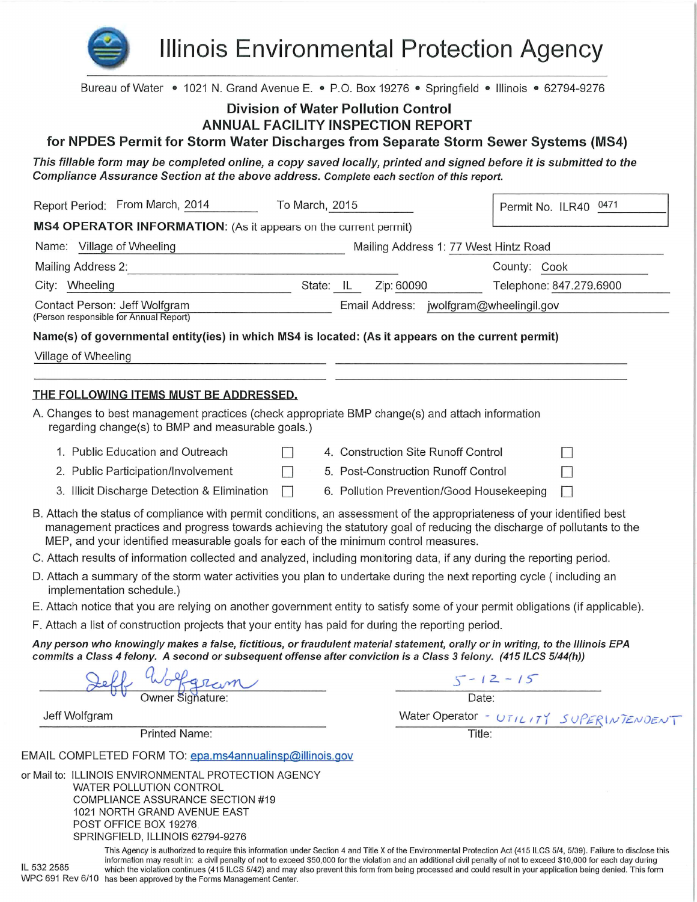

**Illinois Environmental Protection Agency** 

| Bureau of Water • 1021 N. Grand Avenue E. • P.O. Box 19276 • Springfield • Illinois • 62794-9276                                                                                                                                                                                                                                        |           |                                           |                         |                                         |
|-----------------------------------------------------------------------------------------------------------------------------------------------------------------------------------------------------------------------------------------------------------------------------------------------------------------------------------------|-----------|-------------------------------------------|-------------------------|-----------------------------------------|
| <b>Division of Water Pollution Control</b><br><b>ANNUAL FACILITY INSPECTION REPORT</b><br>for NPDES Permit for Storm Water Discharges from Separate Storm Sewer Systems (MS4)                                                                                                                                                           |           |                                           |                         |                                         |
| This fillable form may be completed online, a copy saved locally, printed and signed before it is submitted to the                                                                                                                                                                                                                      |           |                                           |                         |                                         |
| Compliance Assurance Section at the above address. Complete each section of this report.                                                                                                                                                                                                                                                |           |                                           |                         |                                         |
| Report Period: From March, 2014<br>To March, 2015                                                                                                                                                                                                                                                                                       |           |                                           | Permit No. ILR40 0471   |                                         |
| MS4 OPERATOR INFORMATION: (As it appears on the current permit)                                                                                                                                                                                                                                                                         |           |                                           |                         |                                         |
| Name: Village of Wheeling                                                                                                                                                                                                                                                                                                               |           | Mailing Address 1: 77 West Hintz Road     |                         |                                         |
| Mailing Address 2:                                                                                                                                                                                                                                                                                                                      |           |                                           | County: Cook            |                                         |
| City: Wheeling                                                                                                                                                                                                                                                                                                                          | State: IL | Zip: 60090                                | Telephone: 847.279.6900 |                                         |
| Contact Person: Jeff Wolfgram                                                                                                                                                                                                                                                                                                           |           | Email Address: jwolfgram@wheelingil.gov   |                         |                                         |
| (Person responsible for Annual Report)                                                                                                                                                                                                                                                                                                  |           |                                           |                         |                                         |
| Name(s) of governmental entity(ies) in which MS4 is located: (As it appears on the current permit)                                                                                                                                                                                                                                      |           |                                           |                         |                                         |
| Village of Wheeling                                                                                                                                                                                                                                                                                                                     |           |                                           |                         |                                         |
|                                                                                                                                                                                                                                                                                                                                         |           |                                           |                         |                                         |
| <u>THE FOLLOWING ITEMS MUST BE ADDRESSED.</u>                                                                                                                                                                                                                                                                                           |           |                                           |                         |                                         |
| A. Changes to best management practices (check appropriate BMP change(s) and attach information<br>regarding change(s) to BMP and measurable goals.)                                                                                                                                                                                    |           |                                           |                         |                                         |
| 1. Public Education and Outreach                                                                                                                                                                                                                                                                                                        |           | 4. Construction Site Runoff Control       |                         |                                         |
| 2. Public Participation/Involvement<br>$\Box$                                                                                                                                                                                                                                                                                           |           | 5. Post-Construction Runoff Control       |                         |                                         |
| 3. Illicit Discharge Detection & Elimination<br>$\Box$                                                                                                                                                                                                                                                                                  |           | 6. Pollution Prevention/Good Housekeeping |                         | $\Box$                                  |
| B. Attach the status of compliance with permit conditions, an assessment of the appropriateness of your identified best<br>management practices and progress towards achieving the statutory goal of reducing the discharge of pollutants to the<br>MEP, and your identified measurable goals for each of the minimum control measures. |           |                                           |                         |                                         |
| C. Attach results of information collected and analyzed, including monitoring data, if any during the reporting period.                                                                                                                                                                                                                 |           |                                           |                         |                                         |
| D. Attach a summary of the storm water activities you plan to undertake during the next reporting cycle (including an<br>implementation schedule.)                                                                                                                                                                                      |           |                                           |                         |                                         |
| E. Attach notice that you are relying on another government entity to satisfy some of your permit obligations (if applicable).                                                                                                                                                                                                          |           |                                           |                         |                                         |
| F. Attach a list of construction projects that your entity has paid for during the reporting period.                                                                                                                                                                                                                                    |           |                                           |                         |                                         |
| Any person who knowingly makes a false, fictitious, or fraudulent material statement, orally or in writing, to the Illinois EPA<br>commits a Class 4 felony. A second or subsequent offense after conviction is a Class 3 felony. (415 ILCS 5/44(h))                                                                                    |           |                                           |                         |                                         |
| f Wolfgram                                                                                                                                                                                                                                                                                                                              |           | $5 - 12 - 15$<br>Date:                    |                         |                                         |
|                                                                                                                                                                                                                                                                                                                                         |           |                                           |                         |                                         |
| Jeff Wolfgram                                                                                                                                                                                                                                                                                                                           |           |                                           |                         | Water Operator - UTILITY SUPERINTENDENT |
| <b>Printed Name:</b>                                                                                                                                                                                                                                                                                                                    |           | Title:                                    |                         |                                         |
| EMAIL COMPLETED FORM TO: epa.ms4annualinsp@illinois.gov                                                                                                                                                                                                                                                                                 |           |                                           |                         |                                         |
| or Mail to: ILLINOIS ENVIRONMENTAL PROTECTION AGENCY<br>WATER POLLUTION CONTROL<br>COMPLIANCE ASSURANCE SECTION #19<br>1021 NORTH GRAND AVENUE EAST<br>POST OFFICE BOX 19276<br>SPRINGFIELD, ILLINOIS 62794-9276                                                                                                                        |           |                                           |                         |                                         |

This Agency is authorized to require this information under Section 4 and Title X of the Environmental Protection Act (415 ILCS 5/4, 5/39). Failure to disclose this information may result in: a civil penalty of not to exceed \$50,000 for the violation and an additional civil penalty of not to exceed \$10,000 for each day during IL 532 2585 which the violation continues (415 ILCS 5/42) and may also prevent this form from being processed and could result in your application being denied. This form WPC 691 Rev 6/10 has been approved by the Forms Management Center.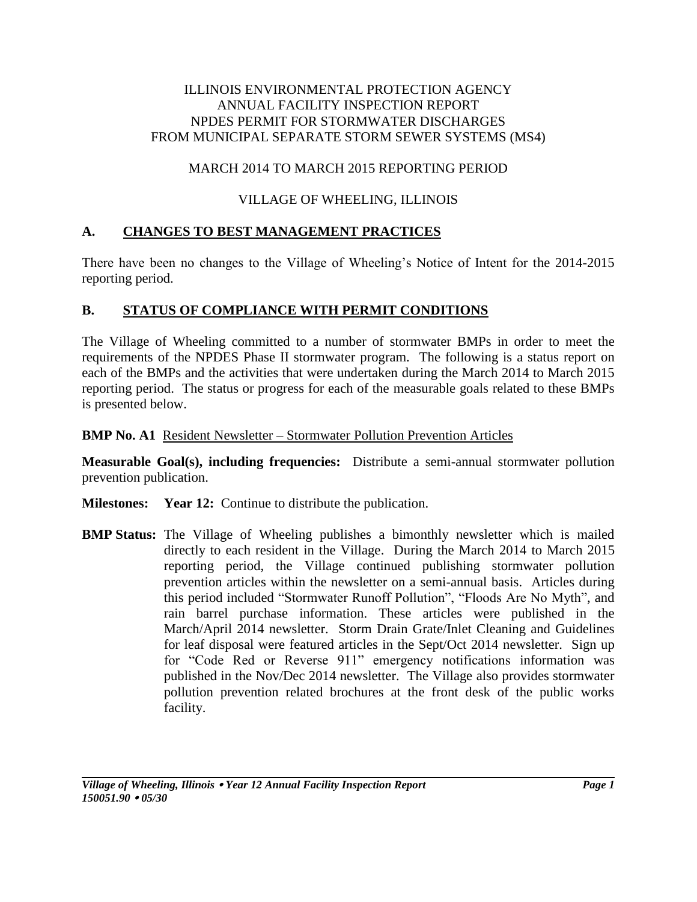#### ILLINOIS ENVIRONMENTAL PROTECTION AGENCY ANNUAL FACILITY INSPECTION REPORT NPDES PERMIT FOR STORMWATER DISCHARGES FROM MUNICIPAL SEPARATE STORM SEWER SYSTEMS (MS4)

## MARCH 2014 TO MARCH 2015 REPORTING PERIOD

## VILLAGE OF WHEELING, ILLINOIS

## **A. CHANGES TO BEST MANAGEMENT PRACTICES**

There have been no changes to the Village of Wheeling's Notice of Intent for the 2014-2015 reporting period.

# **B. STATUS OF COMPLIANCE WITH PERMIT CONDITIONS**

The Village of Wheeling committed to a number of stormwater BMPs in order to meet the requirements of the NPDES Phase II stormwater program. The following is a status report on each of the BMPs and the activities that were undertaken during the March 2014 to March 2015 reporting period. The status or progress for each of the measurable goals related to these BMPs is presented below.

**BMP No. A1** Resident Newsletter – Stormwater Pollution Prevention Articles

**Measurable Goal(s), including frequencies:** Distribute a semi-annual stormwater pollution prevention publication.

**Milestones: Year 12:** Continue to distribute the publication.

**BMP Status:** The Village of Wheeling publishes a bimonthly newsletter which is mailed directly to each resident in the Village. During the March 2014 to March 2015 reporting period, the Village continued publishing stormwater pollution prevention articles within the newsletter on a semi-annual basis. Articles during this period included "Stormwater Runoff Pollution", "Floods Are No Myth", and rain barrel purchase information. These articles were published in the March/April 2014 newsletter. Storm Drain Grate/Inlet Cleaning and Guidelines for leaf disposal were featured articles in the Sept/Oct 2014 newsletter. Sign up for "Code Red or Reverse 911" emergency notifications information was published in the Nov/Dec 2014 newsletter. The Village also provides stormwater pollution prevention related brochures at the front desk of the public works facility.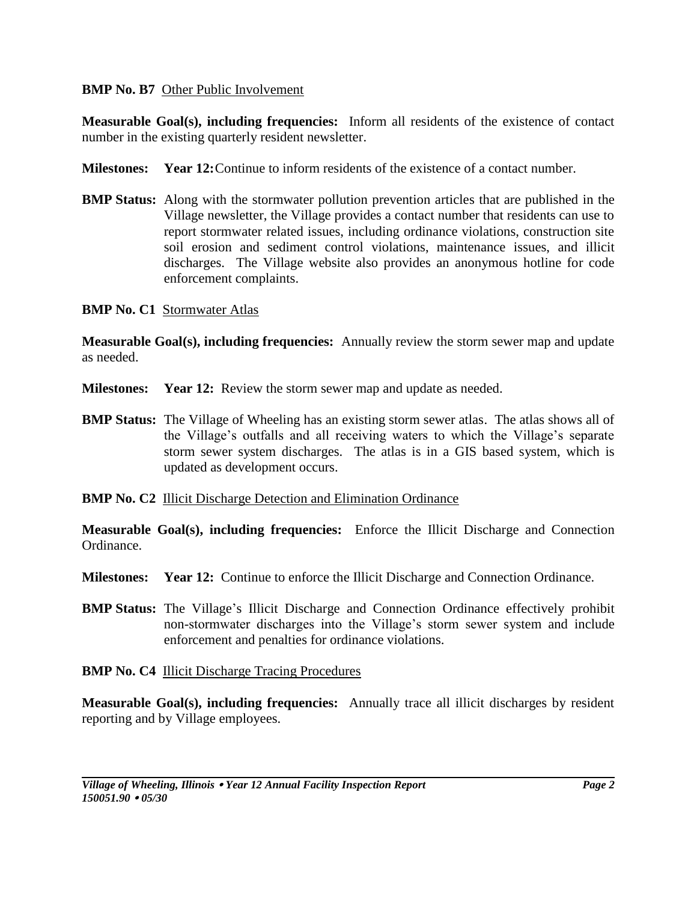#### **BMP No. B7** Other Public Involvement

**Measurable Goal(s), including frequencies:** Inform all residents of the existence of contact number in the existing quarterly resident newsletter.

- **Milestones: Year 12:**Continue to inform residents of the existence of a contact number.
- **BMP Status:** Along with the stormwater pollution prevention articles that are published in the Village newsletter, the Village provides a contact number that residents can use to report stormwater related issues, including ordinance violations, construction site soil erosion and sediment control violations, maintenance issues, and illicit discharges. The Village website also provides an anonymous hotline for code enforcement complaints.

#### **BMP No. C1** Stormwater Atlas

**Measurable Goal(s), including frequencies:** Annually review the storm sewer map and update as needed.

- **Milestones:** Year 12: Review the storm sewer map and update as needed.
- **BMP Status:** The Village of Wheeling has an existing storm sewer atlas. The atlas shows all of the Village's outfalls and all receiving waters to which the Village's separate storm sewer system discharges. The atlas is in a GIS based system, which is updated as development occurs.
- **BMP No. C2** Illicit Discharge Detection and Elimination Ordinance

**Measurable Goal(s), including frequencies:** Enforce the Illicit Discharge and Connection Ordinance.

- **Milestones: Year 12:** Continue to enforce the Illicit Discharge and Connection Ordinance.
- **BMP Status:** The Village's Illicit Discharge and Connection Ordinance effectively prohibit non-stormwater discharges into the Village's storm sewer system and include enforcement and penalties for ordinance violations.
- **BMP No. C4** Illicit Discharge Tracing Procedures

**Measurable Goal(s), including frequencies:** Annually trace all illicit discharges by resident reporting and by Village employees.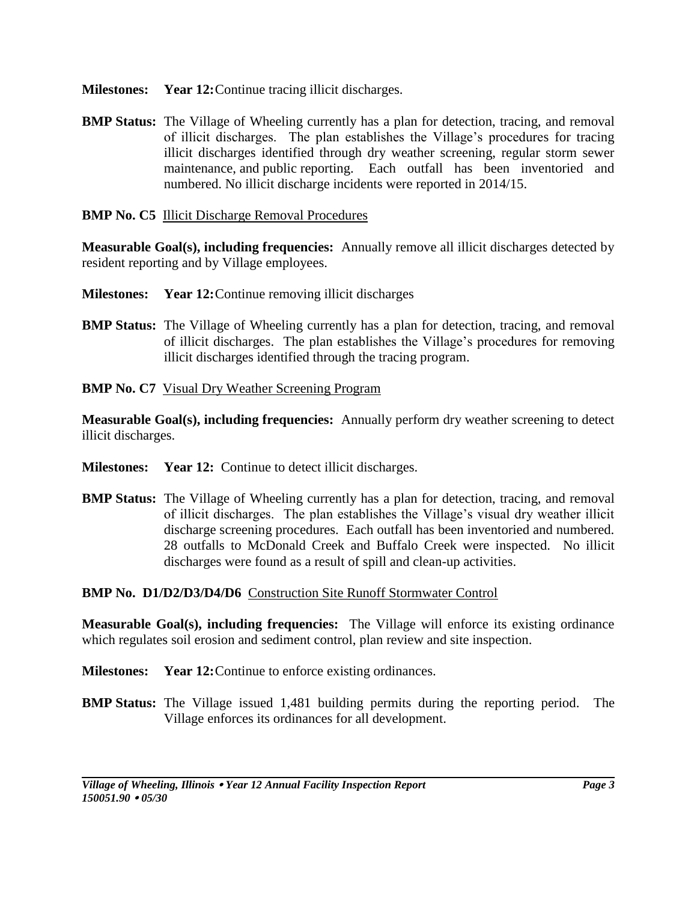- **Milestones: Year 12:**Continue tracing illicit discharges.
- **BMP Status:** The Village of Wheeling currently has a plan for detection, tracing, and removal of illicit discharges. The plan establishes the Village's procedures for tracing illicit discharges identified through dry weather screening, regular storm sewer maintenance, and public reporting. Each outfall has been inventoried and numbered. No illicit discharge incidents were reported in 2014/15.
- **BMP No. C5** Illicit Discharge Removal Procedures

**Measurable Goal(s), including frequencies:** Annually remove all illicit discharges detected by resident reporting and by Village employees.

- **Milestones: Year 12:**Continue removing illicit discharges
- **BMP Status:** The Village of Wheeling currently has a plan for detection, tracing, and removal of illicit discharges. The plan establishes the Village's procedures for removing illicit discharges identified through the tracing program.
- **BMP No. C7** Visual Dry Weather Screening Program

**Measurable Goal(s), including frequencies:** Annually perform dry weather screening to detect illicit discharges.

- **Milestones: Year 12:** Continue to detect illicit discharges.
- **BMP Status:** The Village of Wheeling currently has a plan for detection, tracing, and removal of illicit discharges. The plan establishes the Village's visual dry weather illicit discharge screening procedures. Each outfall has been inventoried and numbered. 28 outfalls to McDonald Creek and Buffalo Creek were inspected. No illicit discharges were found as a result of spill and clean-up activities.

#### **BMP No. D1/D2/D3/D4/D6** Construction Site Runoff Stormwater Control

**Measurable Goal(s), including frequencies:** The Village will enforce its existing ordinance which regulates soil erosion and sediment control, plan review and site inspection.

- **Milestones: Year 12:**Continue to enforce existing ordinances.
- **BMP Status:** The Village issued 1,481 building permits during the reporting period. The Village enforces its ordinances for all development.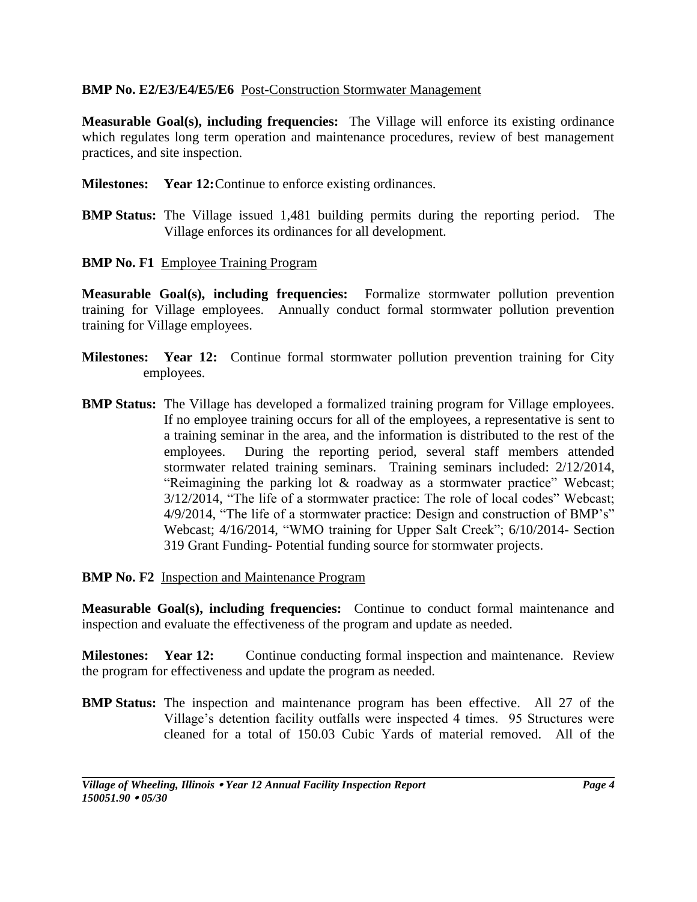#### **BMP No. E2/E3/E4/E5/E6** Post-Construction Stormwater Management

**Measurable Goal(s), including frequencies:** The Village will enforce its existing ordinance which regulates long term operation and maintenance procedures, review of best management practices, and site inspection.

- **Milestones: Year 12:**Continue to enforce existing ordinances.
- **BMP Status:** The Village issued 1,481 building permits during the reporting period. The Village enforces its ordinances for all development.
- **BMP No. F1** Employee Training Program

**Measurable Goal(s), including frequencies:** Formalize stormwater pollution prevention training for Village employees. Annually conduct formal stormwater pollution prevention training for Village employees.

- **Milestones: Year 12:** Continue formal stormwater pollution prevention training for City employees.
- **BMP Status:** The Village has developed a formalized training program for Village employees. If no employee training occurs for all of the employees, a representative is sent to a training seminar in the area, and the information is distributed to the rest of the employees. During the reporting period, several staff members attended stormwater related training seminars. Training seminars included: 2/12/2014, "Reimagining the parking lot & roadway as a stormwater practice" Webcast; 3/12/2014, "The life of a stormwater practice: The role of local codes" Webcast; 4/9/2014, "The life of a stormwater practice: Design and construction of BMP's" Webcast; 4/16/2014, "WMO training for Upper Salt Creek"; 6/10/2014- Section 319 Grant Funding- Potential funding source for stormwater projects.

#### **BMP No. F2** Inspection and Maintenance Program

**Measurable Goal(s), including frequencies:** Continue to conduct formal maintenance and inspection and evaluate the effectiveness of the program and update as needed.

**Milestones:** Year 12: Continue conducting formal inspection and maintenance. Review the program for effectiveness and update the program as needed.

**BMP Status:** The inspection and maintenance program has been effective. All 27 of the Village's detention facility outfalls were inspected 4 times. 95 Structures were cleaned for a total of 150.03 Cubic Yards of material removed. All of the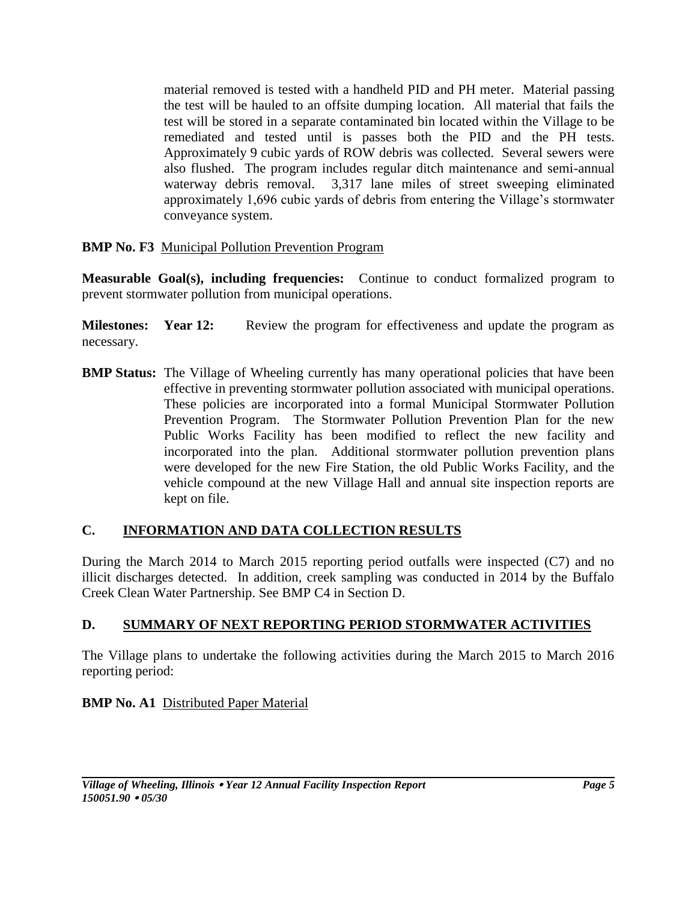material removed is tested with a handheld PID and PH meter. Material passing the test will be hauled to an offsite dumping location. All material that fails the test will be stored in a separate contaminated bin located within the Village to be remediated and tested until is passes both the PID and the PH tests. Approximately 9 cubic yards of ROW debris was collected. Several sewers were also flushed. The program includes regular ditch maintenance and semi-annual waterway debris removal. 3,317 lane miles of street sweeping eliminated approximately 1,696 cubic yards of debris from entering the Village's stormwater conveyance system.

## **BMP No. F3** Municipal Pollution Prevention Program

**Measurable Goal(s), including frequencies:** Continue to conduct formalized program to prevent stormwater pollution from municipal operations.

**Milestones:** Year 12: Review the program for effectiveness and update the program as necessary.

**BMP Status:** The Village of Wheeling currently has many operational policies that have been effective in preventing stormwater pollution associated with municipal operations. These policies are incorporated into a formal Municipal Stormwater Pollution Prevention Program. The Stormwater Pollution Prevention Plan for the new Public Works Facility has been modified to reflect the new facility and incorporated into the plan. Additional stormwater pollution prevention plans were developed for the new Fire Station, the old Public Works Facility, and the vehicle compound at the new Village Hall and annual site inspection reports are kept on file.

# **C. INFORMATION AND DATA COLLECTION RESULTS**

During the March 2014 to March 2015 reporting period outfalls were inspected (C7) and no illicit discharges detected. In addition, creek sampling was conducted in 2014 by the Buffalo Creek Clean Water Partnership. See BMP C4 in Section D.

# **D. SUMMARY OF NEXT REPORTING PERIOD STORMWATER ACTIVITIES**

The Village plans to undertake the following activities during the March 2015 to March 2016 reporting period:

## **BMP No. A1 Distributed Paper Material**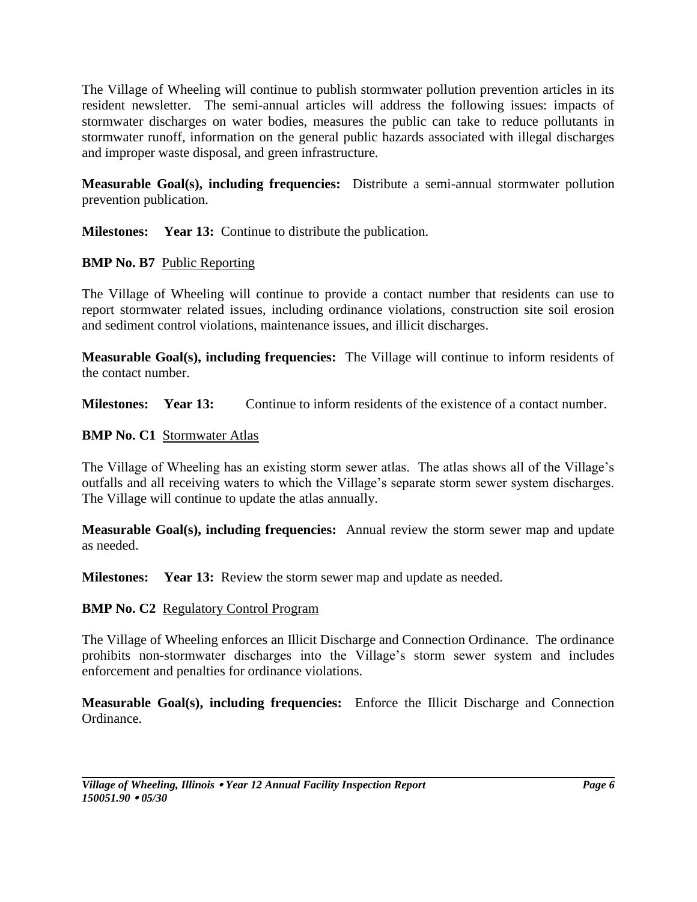The Village of Wheeling will continue to publish stormwater pollution prevention articles in its resident newsletter. The semi-annual articles will address the following issues: impacts of stormwater discharges on water bodies, measures the public can take to reduce pollutants in stormwater runoff, information on the general public hazards associated with illegal discharges and improper waste disposal, and green infrastructure.

**Measurable Goal(s), including frequencies:** Distribute a semi-annual stormwater pollution prevention publication.

**Milestones: Year 13:** Continue to distribute the publication.

## **BMP No. B7** Public Reporting

The Village of Wheeling will continue to provide a contact number that residents can use to report stormwater related issues, including ordinance violations, construction site soil erosion and sediment control violations, maintenance issues, and illicit discharges.

**Measurable Goal(s), including frequencies:** The Village will continue to inform residents of the contact number.

**Milestones: Year 13:** Continue to inform residents of the existence of a contact number.

## **BMP No. C1** Stormwater Atlas

The Village of Wheeling has an existing storm sewer atlas. The atlas shows all of the Village's outfalls and all receiving waters to which the Village's separate storm sewer system discharges. The Village will continue to update the atlas annually.

**Measurable Goal(s), including frequencies:** Annual review the storm sewer map and update as needed.

**Milestones:** Year 13: Review the storm sewer map and update as needed.

#### **BMP No. C2** Regulatory Control Program

The Village of Wheeling enforces an Illicit Discharge and Connection Ordinance. The ordinance prohibits non-stormwater discharges into the Village's storm sewer system and includes enforcement and penalties for ordinance violations.

**Measurable Goal(s), including frequencies:** Enforce the Illicit Discharge and Connection Ordinance.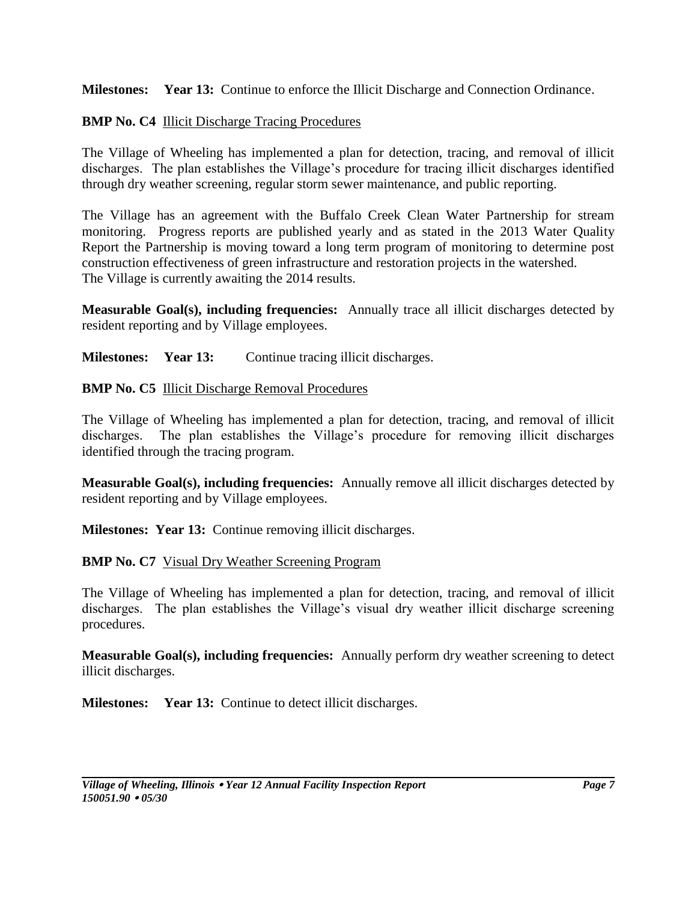**Milestones: Year 13:** Continue to enforce the Illicit Discharge and Connection Ordinance.

## **BMP No. C4** Illicit Discharge Tracing Procedures

The Village of Wheeling has implemented a plan for detection, tracing, and removal of illicit discharges. The plan establishes the Village's procedure for tracing illicit discharges identified through dry weather screening, regular storm sewer maintenance, and public reporting.

The Village has an agreement with the Buffalo Creek Clean Water Partnership for stream monitoring. Progress reports are published yearly and as stated in the 2013 Water Quality Report the Partnership is moving toward a long term program of monitoring to determine post construction effectiveness of green infrastructure and restoration projects in the watershed. The Village is currently awaiting the 2014 results.

**Measurable Goal(s), including frequencies:** Annually trace all illicit discharges detected by resident reporting and by Village employees.

**Milestones:** Year 13: Continue tracing illicit discharges.

## **BMP No. C5** Illicit Discharge Removal Procedures

The Village of Wheeling has implemented a plan for detection, tracing, and removal of illicit discharges. The plan establishes the Village's procedure for removing illicit discharges identified through the tracing program.

**Measurable Goal(s), including frequencies:** Annually remove all illicit discharges detected by resident reporting and by Village employees.

**Milestones: Year 13:** Continue removing illicit discharges.

# **BMP No. C7** Visual Dry Weather Screening Program

The Village of Wheeling has implemented a plan for detection, tracing, and removal of illicit discharges. The plan establishes the Village's visual dry weather illicit discharge screening procedures.

**Measurable Goal(s), including frequencies:** Annually perform dry weather screening to detect illicit discharges.

**Milestones: Year 13:** Continue to detect illicit discharges.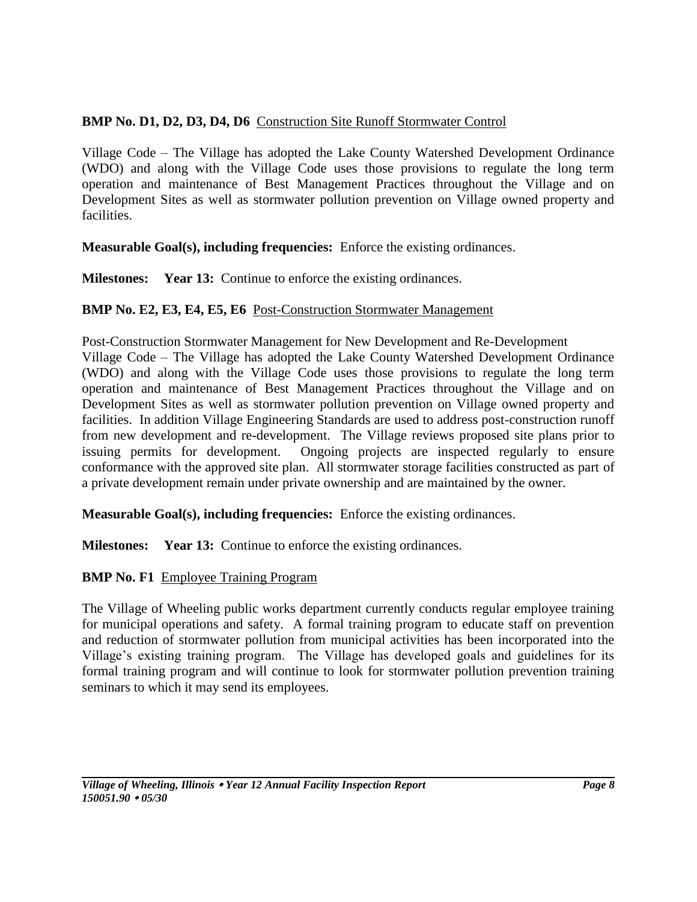## **BMP No. D1, D2, D3, D4, D6** Construction Site Runoff Stormwater Control

Village Code – The Village has adopted the Lake County Watershed Development Ordinance (WDO) and along with the Village Code uses those provisions to regulate the long term operation and maintenance of Best Management Practices throughout the Village and on Development Sites as well as stormwater pollution prevention on Village owned property and facilities.

**Measurable Goal(s), including frequencies:** Enforce the existing ordinances.

**Milestones: Year 13:** Continue to enforce the existing ordinances.

## **BMP No. E2, E3, E4, E5, E6** Post-Construction Stormwater Management

Post-Construction Stormwater Management for New Development and Re-Development Village Code – The Village has adopted the Lake County Watershed Development Ordinance (WDO) and along with the Village Code uses those provisions to regulate the long term operation and maintenance of Best Management Practices throughout the Village and on Development Sites as well as stormwater pollution prevention on Village owned property and facilities. In addition Village Engineering Standards are used to address post-construction runoff from new development and re-development. The Village reviews proposed site plans prior to issuing permits for development. Ongoing projects are inspected regularly to ensure conformance with the approved site plan. All stormwater storage facilities constructed as part of a private development remain under private ownership and are maintained by the owner.

**Measurable Goal(s), including frequencies:** Enforce the existing ordinances.

**Milestones: Year 13:** Continue to enforce the existing ordinances.

## **BMP No. F1** Employee Training Program

The Village of Wheeling public works department currently conducts regular employee training for municipal operations and safety. A formal training program to educate staff on prevention and reduction of stormwater pollution from municipal activities has been incorporated into the Village's existing training program. The Village has developed goals and guidelines for its formal training program and will continue to look for stormwater pollution prevention training seminars to which it may send its employees.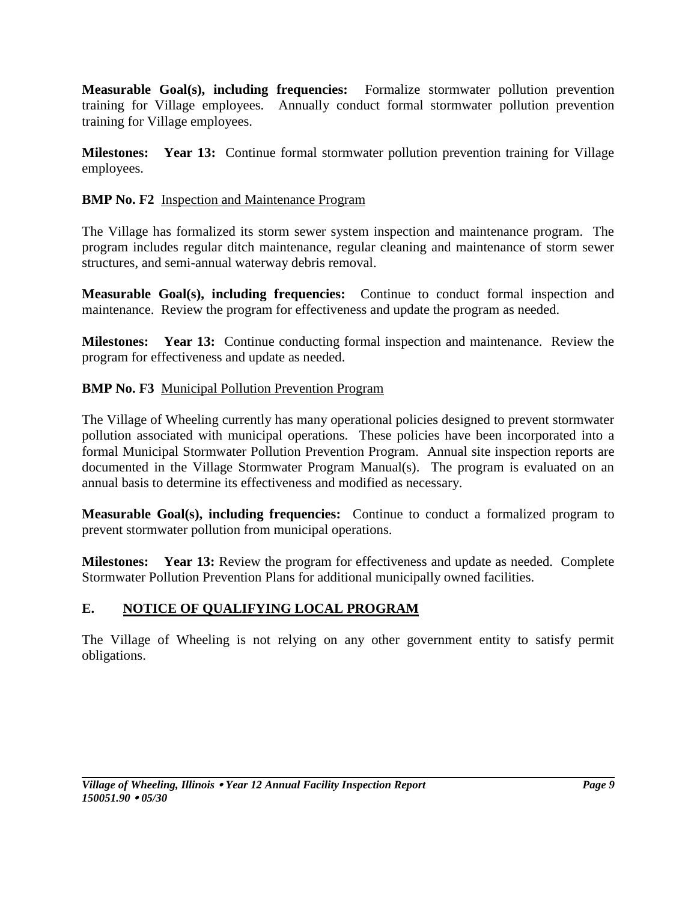**Measurable Goal(s), including frequencies:** Formalize stormwater pollution prevention training for Village employees. Annually conduct formal stormwater pollution prevention training for Village employees.

**Milestones: Year 13:** Continue formal stormwater pollution prevention training for Village employees.

## **BMP No. F2** Inspection and Maintenance Program

The Village has formalized its storm sewer system inspection and maintenance program. The program includes regular ditch maintenance, regular cleaning and maintenance of storm sewer structures, and semi-annual waterway debris removal.

**Measurable Goal(s), including frequencies:** Continue to conduct formal inspection and maintenance. Review the program for effectiveness and update the program as needed.

**Milestones: Year 13:** Continue conducting formal inspection and maintenance. Review the program for effectiveness and update as needed.

## **BMP No. F3** Municipal Pollution Prevention Program

The Village of Wheeling currently has many operational policies designed to prevent stormwater pollution associated with municipal operations. These policies have been incorporated into a formal Municipal Stormwater Pollution Prevention Program. Annual site inspection reports are documented in the Village Stormwater Program Manual(s). The program is evaluated on an annual basis to determine its effectiveness and modified as necessary.

**Measurable Goal(s), including frequencies:** Continue to conduct a formalized program to prevent stormwater pollution from municipal operations.

**Milestones: Year 13:** Review the program for effectiveness and update as needed. Complete Stormwater Pollution Prevention Plans for additional municipally owned facilities.

# **E. NOTICE OF QUALIFYING LOCAL PROGRAM**

The Village of Wheeling is not relying on any other government entity to satisfy permit obligations.